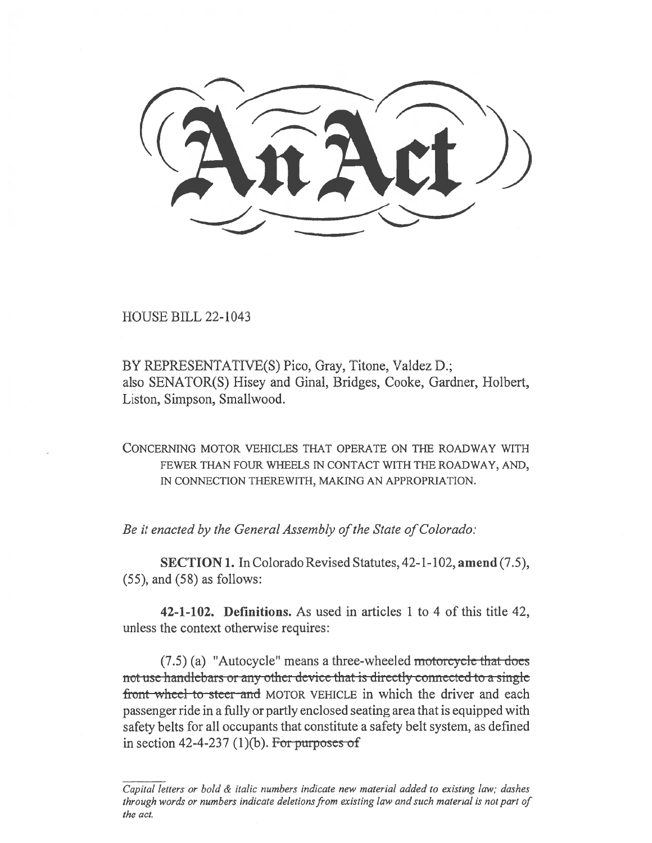HOUSE BILL 22-1043

BY REPRESENTATIVE(S) Pico, Gray, Titone, Valdez D.; also SENATOR(S) Hisey and Ginal, Bridges, Cooke, Gardner, Holbert, Liston, Simpson, Smallwood.

CONCERNING MOTOR VEHICLES THAT OPERATE ON THE ROADWAY WITH FEWER THAN FOUR WHEELS IN CONTACT WITH THE ROADWAY, AND, IN CONNECTION THEREWITH, MAKING AN APPROPRIATION.

Be it enacted by the General Assembly of the State of Colorado:

SECTION 1. In Colorado Revised Statutes, 42-1-102, amend (7.5), (55), and (58) as follows:

42-1-102. Definitions. As used in articles 1 to 4 of this title 42, unless the context otherwise requires:

 $(7.5)$  (a) "Autocycle" means a three-wheeled motorcycle that does not use handlebars or any other device that is directly connected to a single front wheel to steer and MOTOR VEHICLE in which the driver and each passenger ride in a fully or partly enclosed seating area that is equipped with safety belts for all occupants that constitute a safety belt system, as defined in section 42-4-237 (1)(b). For purposes of

Capital letters or bold & italic numbers indicate new material added to existing law; dashes through words or numbers indicate deletions from existing law and such material is not part of the act.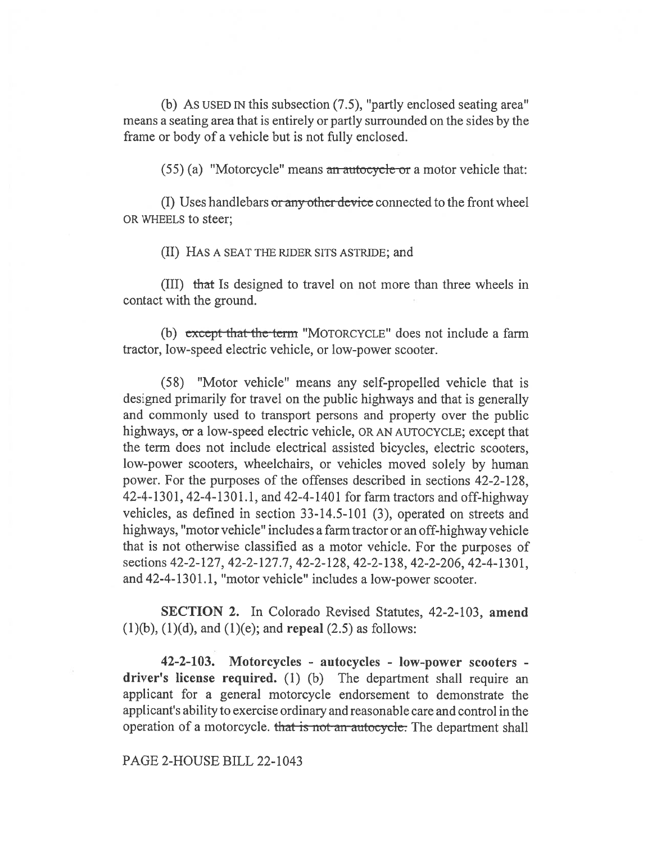(b) As USED IN this subsection (7.5), "partly enclosed seating area" means a seating area that is entirely or partly surrounded on the sides by the frame or body of a vehicle but is not fully enclosed.

 $(55)$  (a) "Motorcycle" means an autocycle or a motor vehicle that:

(I) Uses handlebars or any other device connected to the front wheel OR WHEELS to steer;

(II) HAS A SEAT THE RIDER SITS ASTRIDE; and

(III) that Is designed to travel on not more than three wheels in contact with the ground.

(b) except that the term "MOTORCYCLE" does not include a farm tractor, low-speed electric vehicle, or low-power scooter.

(58) "Motor vehicle" means any self-propelled vehicle that is designed primarily for travel on the public highways and that is generally and commonly used to transport persons and property over the public highways, or a low-speed electric vehicle, OR AN AUTOCYCLE; except that the term does not include electrical assisted bicycles, electric scooters, low-power scooters, wheelchairs, or vehicles moved solely by human power. For the purposes of the offenses described in sections 42-2-128, 42-4-1301, 42-4-1301.1, and 42-4-1401 for farm tractors and off-highway vehicles, as defined in section 33-14.5-101 (3), operated on streets and highways, "motor vehicle" includes a farm tractor or an off-highway vehicle that is not otherwise classified as a motor vehicle. For the purposes of sections 42-2-127, 42-2-127.7, 42-2-128, 42-2-138, 42-2-206, 42-4-1301, and 42-4-1301.1, "motor vehicle" includes a low-power scooter.

SECTION 2. In Colorado Revised Statutes, 42-2-103, amend  $(1)(b)$ ,  $(1)(d)$ , and  $(1)(e)$ ; and **repeal**  $(2.5)$  as follows:

42-2-103. Motorcycles - autocycles - low-power scooters driver's license required. (1) (b) The department shall require an applicant for a general motorcycle endorsement to demonstrate the applicant's ability to exercise ordinary and reasonable care and control in the operation of a motorcycle. that is not an autocycle. The department shall

## PAGE 2-HOUSE BILL 22-1043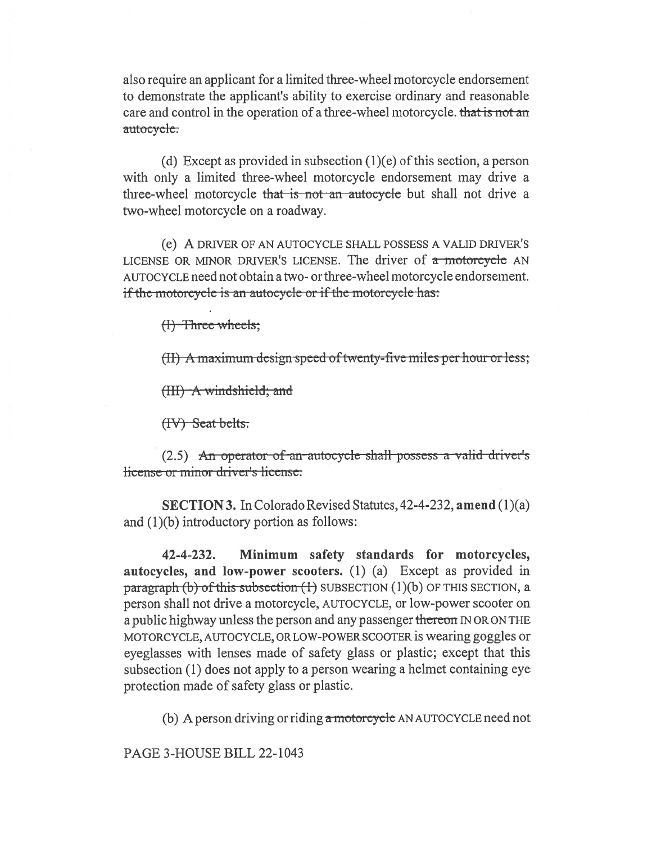also require an applicant for a limited three-wheel motorcycle endorsement to demonstrate the applicant's ability to exercise ordinary and reasonable care and control in the operation of a three-wheel motorcycle. that is not an autocycle.

(d) Except as provided in subsection  $(1)(e)$  of this section, a person with only a limited three-wheel motorcycle endorsement may drive a three-wheel motorcycle that is not an autocycle but shall not drive a two-wheel motorcycle on a roadway.

(e) A DRIVER OF AN AUTOCYCLE SHALL POSSESS A VALID DRIVER'S LICENSE OR MINOR DRIVER'S LICENSE. The driver of  $\alpha$  motorcycle AN AUTOCYCLE need not obtain a two- or three-wheel motorcycle endorsement. if the motorcycle is an autocycle or if the motorcycle has:

 $(H)$  Three wheels;

gn speed of twenty-five miles per hour or less;

(HI) A windshield; and

(IV) Seat belts:

 $(2.5)$  An operator of an autocycle shall possess a valid driver's e or minor driver's license.

SECTION 3. In Colorado Revised Statutes, 42-4-232, amend (1)(a) and (1)(b) introductory portion as follows:

42-4-232. Minimum safety standards for motorcycles, autocycles, and low-power scooters. (1) (a) Except as provided in paragraph (b) of this subsection  $(1)$  SUBSECTION  $(1)(b)$  OF THIS SECTION, a person shall not drive a motorcycle, AUTOCYCLE, or low-power scooter on a public highway unless the person and any passenger thereon IN OR ON THE MOTORCYCLE, AUTOCYCLE, OR LOW-POWER SCOOTER is wearing goggles or eyeglasses with lenses made of safety glass or plastic; except that this subsection (1) does not apply to a person wearing a helmet containing eye protection made of safety glass or plastic.

(b) A person driving or riding  $\alpha$  motorcycle AN AUTOCYCLE need not

PAGE 3-HOUSE BILL 22-1043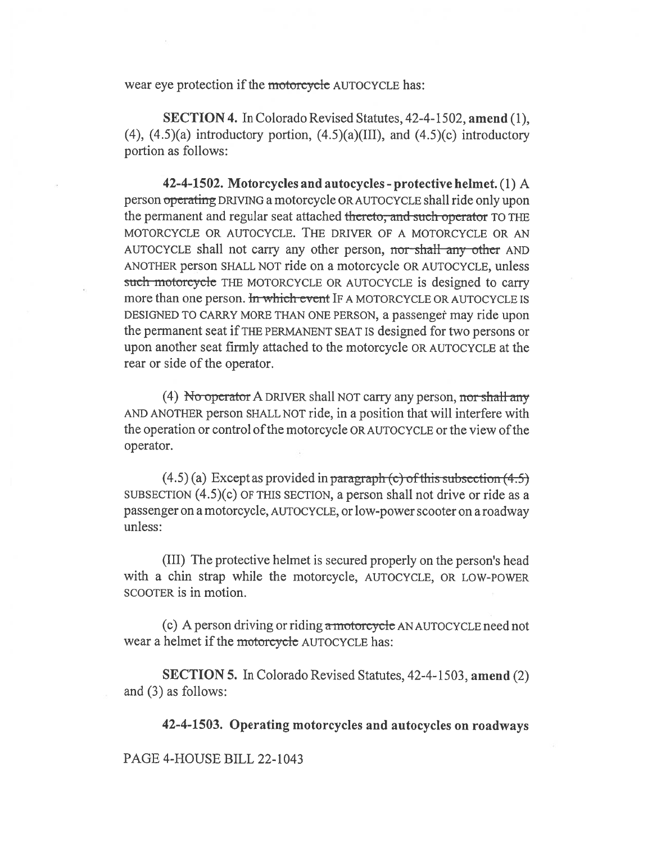wear eye protection if the motorcycle AUTOCYCLE has:

SECTION 4. In Colorado Revised Statutes, 42-4-1502, amend (1),  $(4)$ ,  $(4.5)(a)$  introductory portion,  $(4.5)(a)(III)$ , and  $(4.5)(c)$  introductory portion as follows:

42-4-1502. Motorcycles and autocycles - protective helmet. (1) A person operating DRIVING a motorcycle OR AUTOCYCLE shall ride only upon the permanent and regular seat attached thereto, and such operator TO THE MOTORCYCLE OR AUTOCYCLE. THE DRIVER OF A MOTORCYCLE OR AN AUTOCYCLE shall not carry any other person, nor shall any other AND ANOTHER person SHALL NOT ride on a motorcycle OR AUTOCYCLE, unless such motorcycle THE MOTORCYCLE OR AUTOCYCLE is designed to carry more than one person. In which event IF A MOTORCYCLE OR AUTOCYCLE IS DESIGNED TO CARRY MORE THAN ONE PERSON, a passenger may ride upon the permanent seat if THE PERMANENT SEAT IS designed for two persons or upon another seat firmly attached to the motorcycle OR AUTOCYCLE at the rear or side of the operator.

(4) No-operator A DRIVER shall NOT carry any person, nor shall any AND ANOTHER person SHALL NOT ride, in a position that will interfere with the operation or control of the motorcycle OR AUTOCYCLE or the view of the operator.

 $(4.5)$  (a) Except as provided in paragraph (c) of this subsection  $(4.5)$ SUBSECTION  $(4.5)(c)$  OF THIS SECTION, a person shall not drive or ride as a passenger on a motorcycle, AUTOCYCLE, or low-power scooter on a roadway unless:

(III) The protective helmet is secured properly on the person's head with a chin strap while the motorcycle, AUTOCYCLE, OR LOW-POWER SCOOTER is in motion.

(c) A person driving or riding a motorcycle AN AUTOCYCLE need not wear a helmet if the motorcycle AUTOCYCLE has:

SECTION 5. In Colorado Revised Statutes, 42-4-1503, amend (2) and (3) as follows:

42-4-1503. Operating motorcycles and autocycles on roadways

PAGE 4-HOUSE BILL 22-1043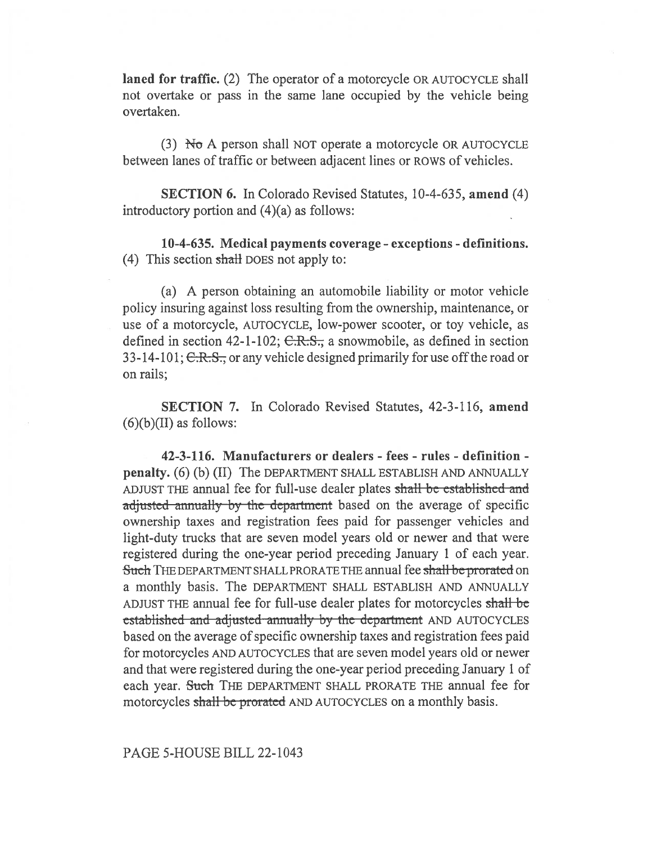laned for traffic. (2) The operator of a motorcycle OR AUTOCYCLE shall not overtake or pass in the same lane occupied by the vehicle being overtaken.

(3)  $\overline{N\sigma}$  A person shall NOT operate a motorcycle OR AUTOCYCLE between lanes of traffic or between adjacent lines or ROWS of vehicles.

SECTION 6. In Colorado Revised Statutes, 10-4-635, amend (4) introductory portion and (4)(a) as follows:

10-4-635. Medical payments coverage - exceptions - definitions. (4) This section shall DOES not apply to:

(a) A person obtaining an automobile liability or motor vehicle policy insuring against loss resulting from the ownership, maintenance, or use of a motorcycle, AUTOCYCLE, low-power scooter, or toy vehicle, as defined in section 42-1-102;  $C.R.S.,$  a snowmobile, as defined in section 33-14-101; C.R.S., or any vehicle designed primarily for use off the road or on rails;

SECTION 7. In Colorado Revised Statutes, 42-3-116, amend  $(6)(b)(II)$  as follows:

42-3-116. Manufacturers or dealers - fees - rules - definition penalty. (6) (b) (II) The DEPARTMENT SHALL ESTABLISH AND ANNUALLY ADJUST THE annual fee for full-use dealer plates shall be established and adjusted annually by the department based on the average of specific ownership taxes and registration fees paid for passenger vehicles and light-duty trucks that are seven model years old or newer and that were registered during the one-year period preceding January 1 of each year. Such THE DEPARTMENT SHALL PRORATE THE annual fee shall be prorated on a monthly basis. The DEPARTMENT SHALL ESTABLISH AND ANNUALLY ADJUST THE annual fee for full-use dealer plates for motorcycles shall be established and adjusted annually by the department AND AUTOCYCLES based on the average of specific ownership taxes and registration fees paid for motorcycles AND AUTOCYCLES that are seven model years old or newer and that were registered during the one-year period preceding January 1 of each year. Such THE DEPARTMENT SHALL PRORATE THE annual fee for motorcycles shall be prorated AND AUTOCYCLES on a monthly basis.

PAGE 5-HOUSE BILL 22-1043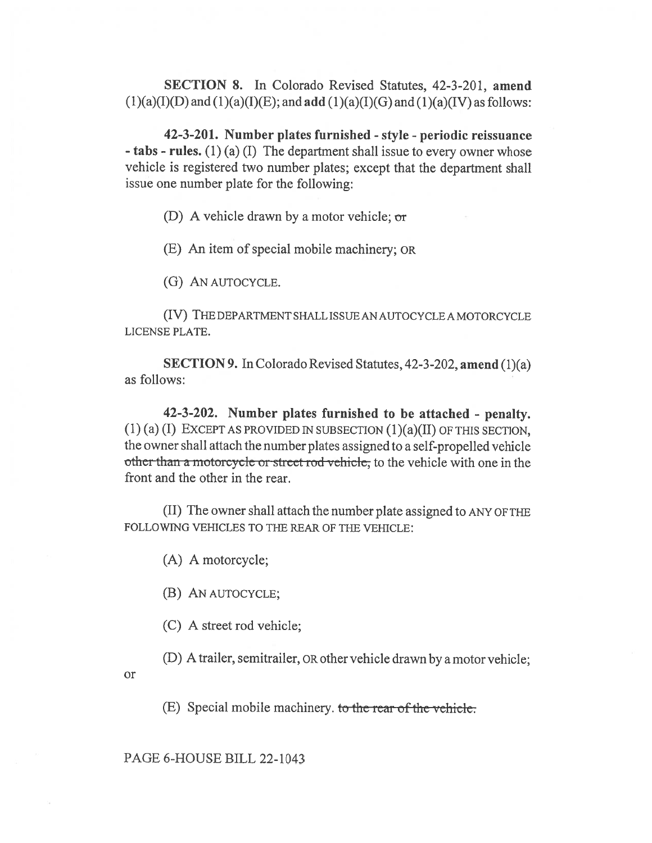SECTION 8. In Colorado Revised Statutes, 42-3-201, amend  $(1)(a)(I)(D)$  and  $(1)(a)(I)(E)$ ; and add  $(1)(a)(I)(G)$  and  $(1)(a)(IV)$  as follows:

42-3-201. Number plates furnished - style - periodic reissuance - tabs - rules. (1) (a) (I) The department shall issue to every owner whose vehicle is registered two number plates; except that the department shall issue one number plate for the following:

(D) A vehicle drawn by a motor vehicle; or

(E) An item of special mobile machinery; OR

(G) AN AUTOCYCLE.

(IV) THE DEPARTMENT SHALL ISSUE AN AUTOCYCLE A MOTORCYCLE LICENSE PLATE.

SECTION 9. In Colorado Revised Statutes, 42-3-202, amend (1)(a) as follows:

42-3-202. Number plates furnished to be attached - penalty.  $(1)$  (a) (I) EXCEPT AS PROVIDED IN SUBSECTION  $(1)(a)(II)$  OF THIS SECTION, the owner shall attach the number plates assigned to a self-propelled vehicle other than a motorcycle or street rod vehicle, to the vehicle with one in the front and the other in the rear.

(II) The owner shall attach the number plate assigned to ANY OF THE FOLLOWING VEHICLES TO THE REAR OF THE VEHICLE:

(A) A motorcycle;

(B) AN AUTOCYCLE;

(C) A street rod vehicle;

(D) A trailer, semitrailer, OR other vehicle drawn by a motor vehicle;

or

 $(E)$  Special mobile machinery, to the rear of the vehicle.

PAGE 6-HOUSE BILL 22-1043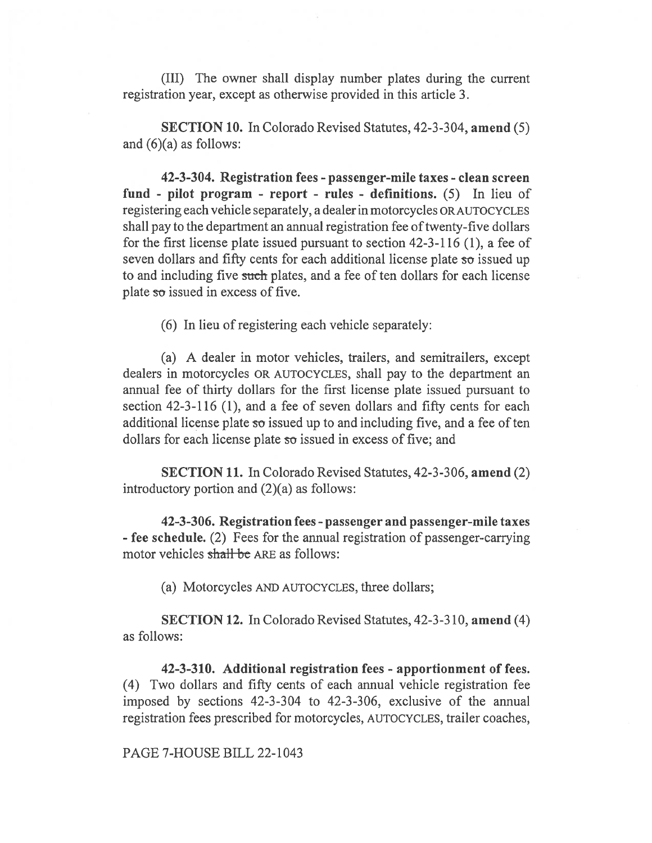(III) The owner shall display number plates during the current registration year, except as otherwise provided in this article 3.

SECTION 10. In Colorado Revised Statutes, 42-3-304, amend (5) and  $(6)(a)$  as follows:

42-3-304. Registration fees - passenger-mile taxes - clean screen fund - pilot program - report - rules - definitions. (5) In lieu of registering each vehicle separately, a dealer in motorcycles OR AUTOCYCLES shall pay to the department an annual registration fee of twenty-five dollars for the first license plate issued pursuant to section 42-3-116 (1), a fee of seven dollars and fifty cents for each additional license plate  $\overline{so}$  issued up to and including five such plates, and a fee of ten dollars for each license plate so issued in excess of five.

(6) In lieu of registering each vehicle separately:

(a) A dealer in motor vehicles, trailers, and semitrailers, except dealers in motorcycles OR AUTOCYCLES, shall pay to the department an annual fee of thirty dollars for the first license plate issued pursuant to section 42-3-116 (1), and a fee of seven dollars and fifty cents for each additional license plate  $\infty$  issued up to and including five, and a fee of ten dollars for each license plate so issued in excess of five; and

SECTION 11. In Colorado Revised Statutes, 42-3-306, amend (2) introductory portion and (2)(a) as follows:

42-3-306. Registration fees - passenger and passenger-mile taxes - fee schedule. (2) Fees for the annual registration of passenger-carrying motor vehicles shall be ARE as follows:

(a) Motorcycles AND AUTOCYCLES, three dollars;

SECTION 12. In Colorado Revised Statutes, 42-3-310, amend (4) as follows:

42-3-310. Additional registration fees - apportionment of fees. (4) Two dollars and fifty cents of each annual vehicle registration fee imposed by sections 42-3-304 to 42-3-306, exclusive of the annual registration fees prescribed for motorcycles, AUTOCYCLES, trailer coaches,

PAGE 7-HOUSE BILL 22-1043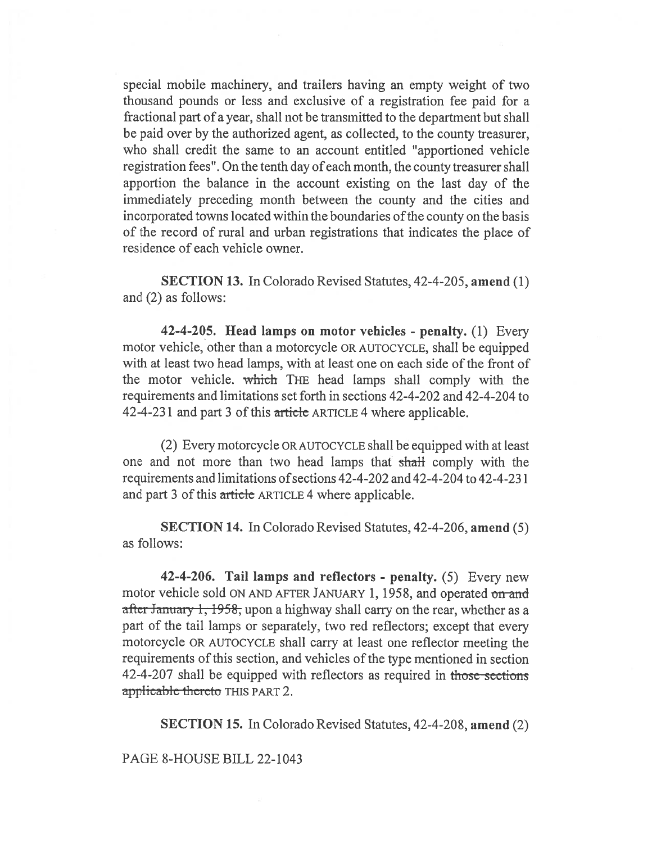special mobile machinery, and trailers having an empty weight of two thousand pounds or less and exclusive of a registration fee paid for a fractional part of a year, shall not be transmitted to the department but shall be paid over by the authorized agent, as collected, to the county treasurer, who shall credit the same to an account entitled "apportioned vehicle registration fees". On the tenth day of each month, the county treasurer shall apportion the balance in the account existing on the last day of the immediately preceding month between the county and the cities and incorporated towns located within the boundaries of the county on the basis of the record of rural and urban registrations that indicates the place of residence of each vehicle owner.

SECTION 13. In Colorado Revised Statutes, 42-4-205, amend (1) and (2) as follows:

42-4-205. Head lamps on motor vehicles - penalty. (1) Every motor vehicle, other than a motorcycle OR AUTOCYCLE, shall be equipped with at least two head lamps, with at least one on each side of the front of the motor vehicle. which THE head lamps shall comply with the requirements and limitations set forth in sections 42-4-202 and 42-4-204 to 42-4-231 and part 3 of this article ARTICLE 4 where applicable.

(2) Every motorcycle OR AUTOCYCLE shall be equipped with at least one and not more than two head lamps that shall comply with the requirements and limitations of sections 42-4-202 and 42-4-204 to 42-4-231 and part 3 of this article ARTICLE 4 where applicable.

SECTION 14. In Colorado Revised Statutes, 42-4-206, amend (5) as follows:

42-4-206. Tail lamps and reflectors - penalty. (5) Every new motor vehicle sold ON AND AFTER JANUARY 1, 1958, and operated on and after January 1, 1958, upon a highway shall carry on the rear, whether as a part of the tail lamps or separately, two red reflectors; except that every motorcycle OR AUTOCYCLE shall carry at least one reflector meeting the requirements of this section, and vehicles of the type mentioned in section 42-4-207 shall be equipped with reflectors as required in those sections applicable thereto THIS PART 2.

SECTION 15. In Colorado Revised Statutes, 42-4-208, amend (2)

## PAGE 8-HOUSE BILL 22-1043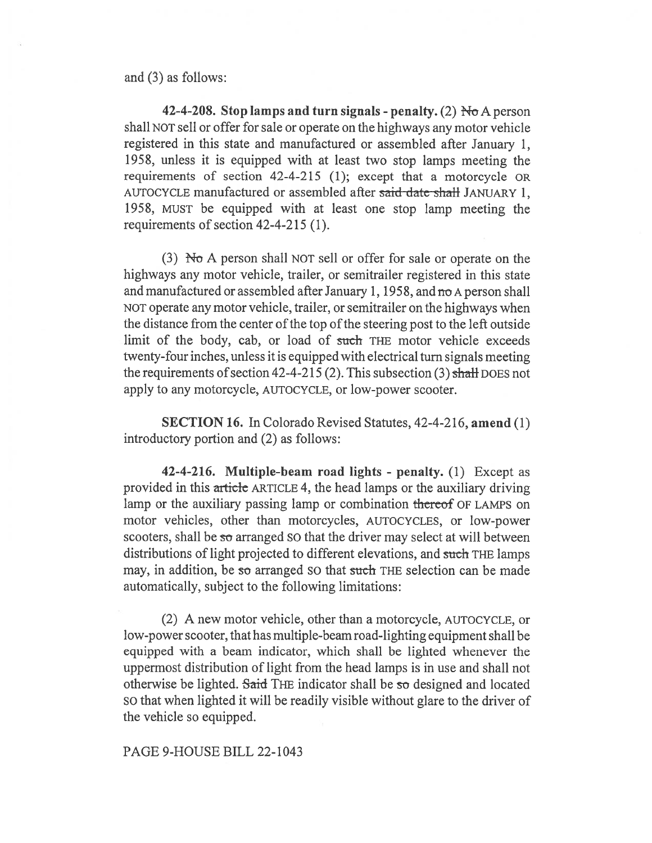and (3) as follows:

42-4-208. Stop lamps and turn signals - penalty. (2)  $H<sub>o</sub>$  A person shall NOT sell or offer for sale or operate on the highways any motor vehicle registered in this state and manufactured or assembled after January 1, 1958, unless it is equipped with at least two stop lamps meeting the requirements of section 42-4-215 (1); except that a motorcycle OR AUTOCYCLE manufactured or assembled after said date shall JANUARY 1, 1958, MUST be equipped with at least one stop lamp meeting the requirements of section 42-4-215 (1).

(3) No A person shall NOT sell or offer for sale or operate on the highways any motor vehicle, trailer, or semitrailer registered in this state and manufactured or assembled after January 1, 1958, and no A person shall NOT operate any motor vehicle, trailer, or semitrailer on the highways when the distance from the center of the top of the steering post to the left outside limit of the body, cab, or load of such THE motor vehicle exceeds twenty-four inches, unless it is equipped with electrical turn signals meeting the requirements of section 42-4-215 (2). This subsection (3) shall DOES not apply to any motorcycle, AUTOCYCLE, or low-power scooter.

SECTION 16. In Colorado Revised Statutes, 42-4-216, amend (1) introductory portion and (2) as follows:

42-4-216. Multiple-beam road lights - penalty. (1) Except as provided in this article ARTICLE 4, the head lamps or the auxiliary driving lamp or the auxiliary passing lamp or combination thereof OF LAMPS on motor vehicles, other than motorcycles, AUTOCYCLES, or low-power scooters, shall be so arranged SO that the driver may select at will between distributions of light projected to different elevations, and such THE lamps may, in addition, be so arranged so that such THE selection can be made automatically, subject to the following limitations:

(2) A new motor vehicle, other than a motorcycle, AUTOCYCLE, or low-power scooter, that has multiple-beam road-lighting equipment shall be equipped with a beam indicator, which shall be lighted whenever the uppermost distribution of light from the head lamps is in use and shall not otherwise be lighted. Said THE indicator shall be so designed and located SO that when lighted it will be readily visible without glare to the driver of the vehicle so equipped.

PAGE 9-HOUSE BILL 22-1043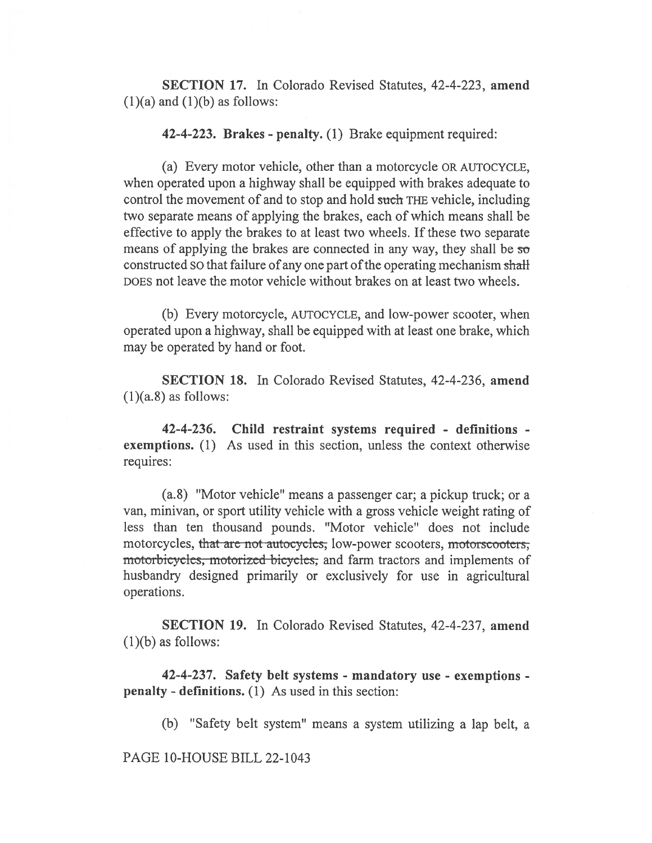SECTION 17. In Colorado Revised Statutes, 42-4-223, amend  $(1)(a)$  and  $(1)(b)$  as follows:

42-4-223. Brakes - penalty. (1) Brake equipment required:

(a) Every motor vehicle, other than a motorcycle OR AUTOCYCLE, when operated upon a highway shall be equipped with brakes adequate to control the movement of and to stop and hold such THE vehicle, including two separate means of applying the brakes, each of which means shall be effective to apply the brakes to at least two wheels. If these two separate means of applying the brakes are connected in any way, they shall be so constructed SO that failure of any one part of the operating mechanism shall DOES not leave the motor vehicle without brakes on at least two wheels.

(b) Every motorcycle, AUTOCYCLE, and low-power scooter, when operated upon a highway, shall be equipped with at least one brake, which may be operated by hand or foot.

SECTION 18. In Colorado Revised Statutes, 42-4-236, amend  $(1)(a.8)$  as follows:

42-4-236. Child restraint systems required - definitions exemptions. (1) As used in this section, unless the context otherwise requires:

(a.8) "Motor vehicle" means a passenger car; a pickup truck; or a van, minivan, or sport utility vehicle with a gross vehicle weight rating of less than ten thousand pounds. "Motor vehicle" does not include motorcycles, that are not autocycles, low-power scooters, motorscooters, motorbicycles, motorized bicycles, and farm tractors and implements of husbandry designed primarily or exclusively for use in agricultural operations.

SECTION 19. In Colorado Revised Statutes, 42-4-237, amend  $(1)(b)$  as follows:

42-4-237. Safety belt systems - mandatory use - exemptions penalty - definitions. (1) As used in this section:

(b) "Safety belt system" means a system utilizing a lap belt, a

PAGE 10-HOUSE BILL 22-1043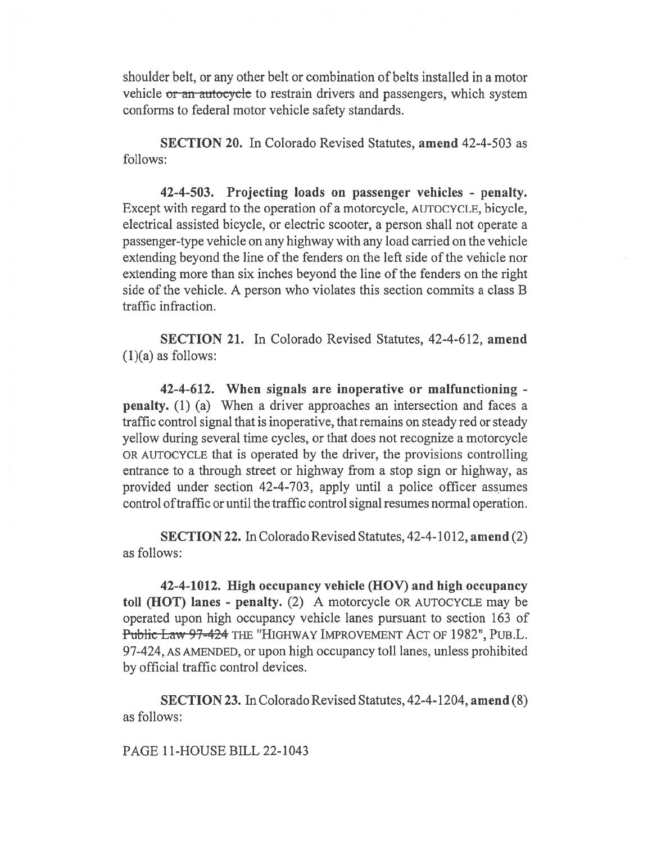shoulder belt, or any other belt or combination of belts installed in a motor vehicle or an autocycle to restrain drivers and passengers, which system conforms to federal motor vehicle safety standards.

SECTION 20. In Colorado Revised Statutes, amend 42-4-503 as follows:

42-4-503. Projecting loads on passenger vehicles - penalty. Except with regard to the operation of a motorcycle, AUTOCYCLE, bicycle, electrical assisted bicycle, or electric scooter, a person shall not operate a passenger-type vehicle on any highway with any load carried on the vehicle extending beyond the line of the fenders on the left side of the vehicle nor extending more than six inches beyond the line of the fenders on the right side of the vehicle. A person who violates this section commits a class B traffic infraction.

SECTION 21. In Colorado Revised Statutes, 42-4-612, amend  $(1)(a)$  as follows:

42-4-612. When signals are inoperative or malfunctioning penalty. (1) (a) When a driver approaches an intersection and faces a traffic control signal that is inoperative, that remains on steady red or steady yellow during several time cycles, or that does not recognize a motorcycle OR AUTOCYCLE that is operated by the driver, the provisions controlling entrance to a through street or highway from a stop sign or highway, as provided under section 42-4-703, apply until a police officer assumes control of traffic or until the traffic control signal resumes normal operation.

SECTION 22. In Colorado Revised Statutes, 42-4-1012, amend (2) as follows:

42-4-1012. High occupancy vehicle (HOV) and high occupancy toll (HOT) lanes - penalty. (2) A motorcycle OR AUTOCYCLE may be operated upon high occupancy vehicle lanes pursuant to section 163 of Public Law 97-424 THE "HIGHWAY IMPROVEMENT ACT OF 1982", PUB.L. 97-424, AS AMENDED, or upon high occupancy toll lanes, unless prohibited by official traffic control devices.

SECTION 23. In Colorado Revised Statutes, 42-4-1204, amend (8) as follows:

PAGE 11-HOUSE BILL 22-1043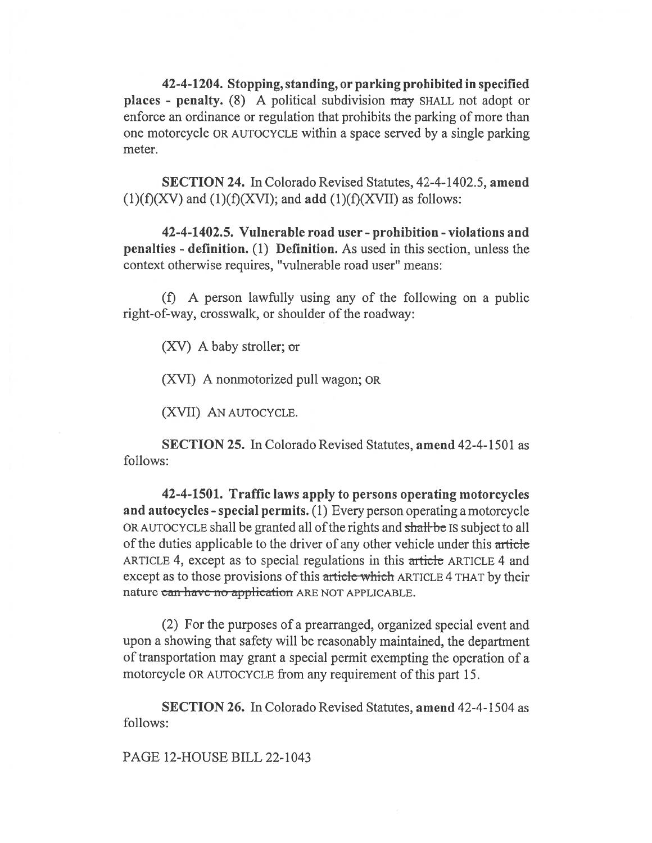42-4-1204. Stopping, standing, or parking prohibited in specified places - penalty. (8) A political subdivision may SHALL not adopt or enforce an ordinance or regulation that prohibits the parking of more than one motorcycle OR AUTOCYCLE within a space served by a single parking meter.

SECTION 24. In Colorado Revised Statutes, 42-4-1402.5, amend  $(1)(f)(XV)$  and  $(1)(f)(XVI)$ ; and add  $(1)(f)(XVII)$  as follows:

42-4-1402.5. Vulnerable road user - prohibition - violations and penalties - definition. (1) Definition. As used in this section, unless the context otherwise requires, "vulnerable road user" means:

(f) A person lawfully using any of the following on a public right-of-way, crosswalk, or shoulder of the roadway:

(XV) A baby stroller;  $\sigma r$ 

(XVI) A nonmotorized pull wagon; OR

(XVII) AN AUTOCYCLE.

SECTION 25. In Colorado Revised Statutes, amend 42-4-1501 as follows:

42-4-1501. Traffic laws apply to persons operating motorcycles and autocycles - special permits. (1) Every person operating a motorcycle OR AUTOCYCLE shall be granted all of the rights and shall be IS subject to all of the duties applicable to the driver of any other vehicle under this article ARTICLE 4, except as to special regulations in this article ARTICLE 4 and except as to those provisions of this article which ARTICLE 4 THAT by their nature can have no application ARE NOT APPLICABLE.

(2) For the purposes of a prearranged, organized special event and upon a showing that safety will be reasonably maintained, the department of transportation may grant a special permit exempting the operation of a motorcycle OR AUTOCYCLE from any requirement of this part 15.

SECTION 26. In Colorado Revised Statutes, amend 42-4-1504 as follows:

PAGE 12-HOUSE BILL 22-1043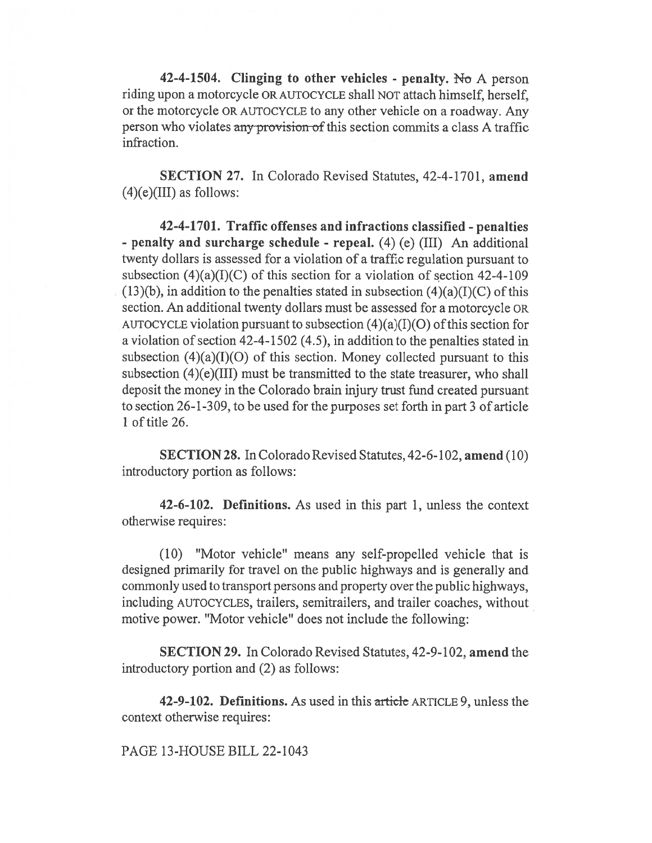42-4-1504. Clinging to other vehicles - penalty. No A person riding upon a motorcycle OR AUTOCYCLE shall NOT attach himself, herself, or the motorcycle OR AUTOCYCLE to any other vehicle on a roadway. Any person who violates any provision of this section commits a class A traffic infraction.

SECTION 27. In Colorado Revised Statutes, 42-4-1701, amend  $(4)(e)(III)$  as follows:

42-4-1701. Traffic offenses and infractions classified - penalties - penalty and surcharge schedule - repeal. (4) (e) (III) An additional twenty dollars is assessed for a violation of a traffic regulation pursuant to subsection  $(4)(a)(I)(C)$  of this section for a violation of section 42-4-109  $(13)(b)$ , in addition to the penalties stated in subsection  $(4)(a)(I)(C)$  of this section. An additional twenty dollars must be assessed for a motorcycle OR AUTOCYCLE violation pursuant to subsection  $(4)(a)(I)(O)$  of this section for a violation of section 42-4-1502 (4.5), in addition to the penalties stated in subsection  $(4)(a)(I)(O)$  of this section. Money collected pursuant to this subsection (4)(e)(III) must be transmitted to the state treasurer, who shall deposit the money in the Colorado brain injury trust fund created pursuant to section 26-1-309, to be used for the purposes set forth in part 3 of article 1 of title 26.

SECTION 28. In Colorado Revised Statutes, 42-6-102, amend (10) introductory portion as follows:

42-6-102. Definitions. As used in this part 1, unless the context otherwise requires:

(10) "Motor vehicle" means any self-propelled vehicle that is designed primarily for travel on the public highways and is generally and commonly used to transport persons and property over the public highways, including AUTOCYCLES, trailers, semitrailers, and trailer coaches, without motive power. "Motor vehicle" does not include the following:

SECTION 29. In Colorado Revised Statutes, 42-9-102, amend the introductory portion and (2) as follows:

42-9-102. Definitions. As used in this article ARTICLE 9, unless the context otherwise requires:

PAGE 13-HOUSE BILL 22-1043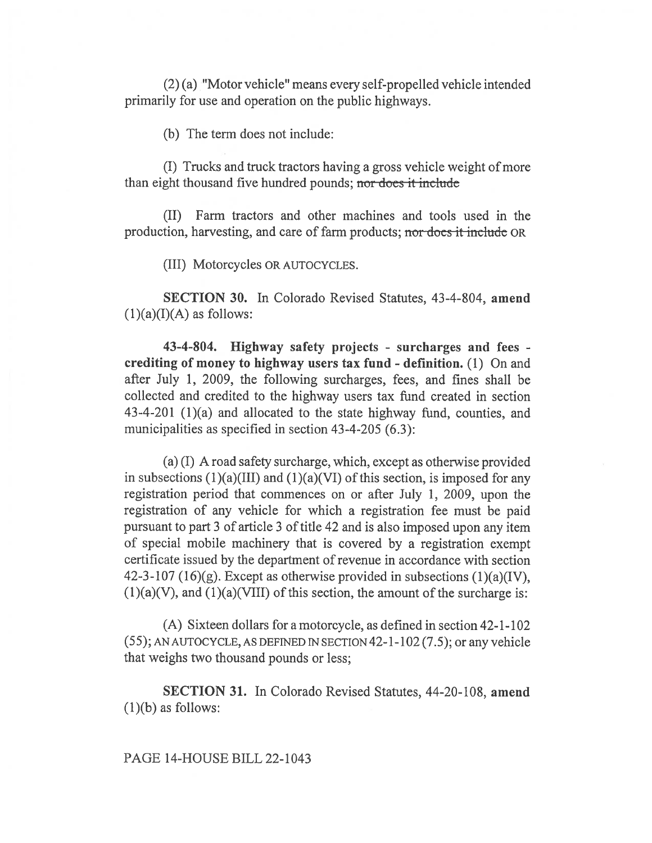(2) (a) "Motor vehicle" means every self-propelled vehicle intended primarily for use and operation on the public highways.

(b) The term does not include:

(I) Trucks and truck tractors having a gross vehicle weight of more than eight thousand five hundred pounds; nor does it include

(II) Farm tractors and other machines and tools used in the production, harvesting, and care of farm products; nor does it include OR

(III) Motorcycles OR AUTOCYCLES.

SECTION 30. In Colorado Revised Statutes, 43-4-804, amend  $(1)(a)(I)(A)$  as follows:

43-4-804. Highway safety projects - surcharges and fees crediting of money to highway users tax fund - definition. (1) On and after July 1, 2009, the following surcharges, fees, and fines shall be collected and credited to the highway users tax fund created in section 43-4-201 (1)(a) and allocated to the state highway fund, counties, and municipalities as specified in section 43-4-205 (6.3):

(a) (I) A road safety surcharge, which, except as otherwise provided in subsections  $(1)(a)(III)$  and  $(1)(a)(VI)$  of this section, is imposed for any registration period that commences on or after July 1, 2009, upon the registration of any vehicle for which a registration fee must be paid pursuant to part 3 of article 3 of title 42 and is also imposed upon any item of special mobile machinery that is covered by a registration exempt certificate issued by the department of revenue in accordance with section 42-3-107 (16)(g). Except as otherwise provided in subsections (1)(a)(IV),  $(1)(a)(V)$ , and  $(1)(a)(VIII)$  of this section, the amount of the surcharge is:

(A) Sixteen dollars for a motorcycle, as defined in section 42-1-102 (55); AN AUTOCYCLE, AS DEFINED IN SECTION 42-1-102 (7.5); or any vehicle that weighs two thousand pounds or less;

SECTION 31. In Colorado Revised Statutes, 44-20-108, amend  $(1)(b)$  as follows:

PAGE 14-HOUSE BILL 22-1043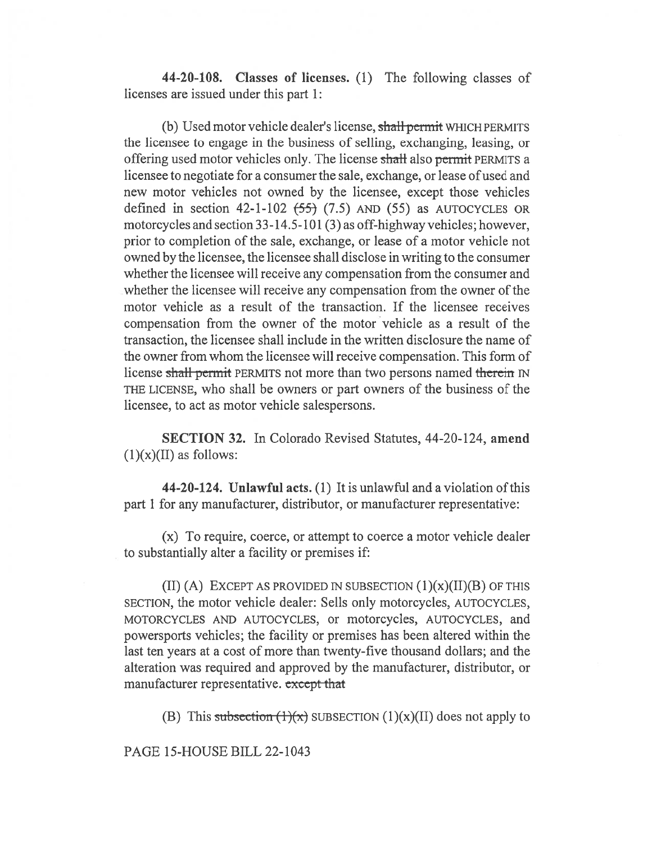44-20-108. Classes of licenses. (1) The following classes of licenses are issued under this part 1:

(b) Used motor vehicle dealer's license, shall permit WHICH PERMITS the licensee to engage in the business of selling, exchanging, leasing, or offering used motor vehicles only. The license shall also permit PERMITS a licensee to negotiate for a consumer the sale, exchange, or lease of used and new motor vehicles not owned by the licensee, except those vehicles defined in section 42-1-102  $(55)$   $(7.5)$  AND  $(55)$  as AUTOCYCLES OR motorcycles and section 33-14.5-101 (3) as off-highway vehicles; however, prior to completion of the sale, exchange, or lease of a motor vehicle not owned by the licensee, the licensee shall disclose in writing to the consumer whether the licensee will receive any compensation from the consumer and whether the licensee will receive any compensation from the owner of the motor vehicle as a result of the transaction. If the licensee receives compensation from the owner of the motor vehicle as a result of the transaction, the licensee shall include in the written disclosure the name of the owner from whom the licensee will receive compensation. This form of license shall permit PERMITS not more than two persons named therein IN THE LICENSE, who shall be owners or part owners of the business of the licensee, to act as motor vehicle salespersons.

SECTION 32. In Colorado Revised Statutes, 44-20-124, amend  $(1)(x)(II)$  as follows:

44-20-124. Unlawful acts. (1) It is unlawful and a violation of this part 1 for any manufacturer, distributor, or manufacturer representative:

(x) To require, coerce, or attempt to coerce a motor vehicle dealer to substantially alter a facility or premises if:

(II) (A) EXCEPT AS PROVIDED IN SUBSECTION  $(1)(x)(II)(B)$  OF THIS SECTION, the motor vehicle dealer: Sells only motorcycles, AUTOCYCLES, MOTORCYCLES AND AUTOCYCLES, or motorcycles, AUTOCYCLES, and powersports vehicles; the facility or premises has been altered within the last ten years at a cost of more than twenty-five thousand dollars; and the alteration was required and approved by the manufacturer, distributor, or manufacturer representative. except that

(B) This subsection  $(1)(x)$  SUBSECTION  $(1)(x)(II)$  does not apply to

PAGE 15-HOUSE BILL 22-1043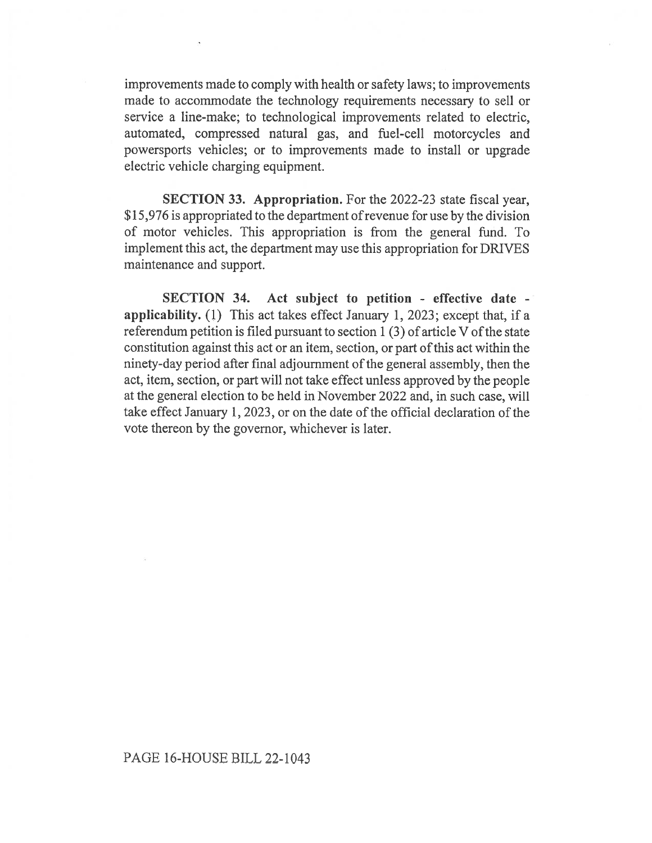improvements made to comply with health or safety laws; to improvements made to accommodate the technology requirements necessary to sell or service a line-make; to technological improvements related to electric, automated, compressed natural gas, and fuel-cell motorcycles and powersports vehicles; or to improvements made to install or upgrade electric vehicle charging equipment.

SECTION 33. Appropriation. For the 2022-23 state fiscal year, \$15,976 is appropriated to the department of revenue for use by the division of motor vehicles. This appropriation is from the general fund. To implement this act, the department may use this appropriation for DRIVES maintenance and support.

SECTION 34. Act subject to petition - effective date applicability. (1) This act takes effect January 1, 2023; except that, if a referendum petition is filed pursuant to section 1 (3) of article V of the state constitution against this act or an item, section, or part of this act within the ninety-day period after final adjournment of the general assembly, then the act, item, section, or part will not take effect unless approved by the people at the general election to be held in November 2022 and, in such case, will take effect January 1, 2023, or on the date of the official declaration of the vote thereon by the governor, whichever is later.